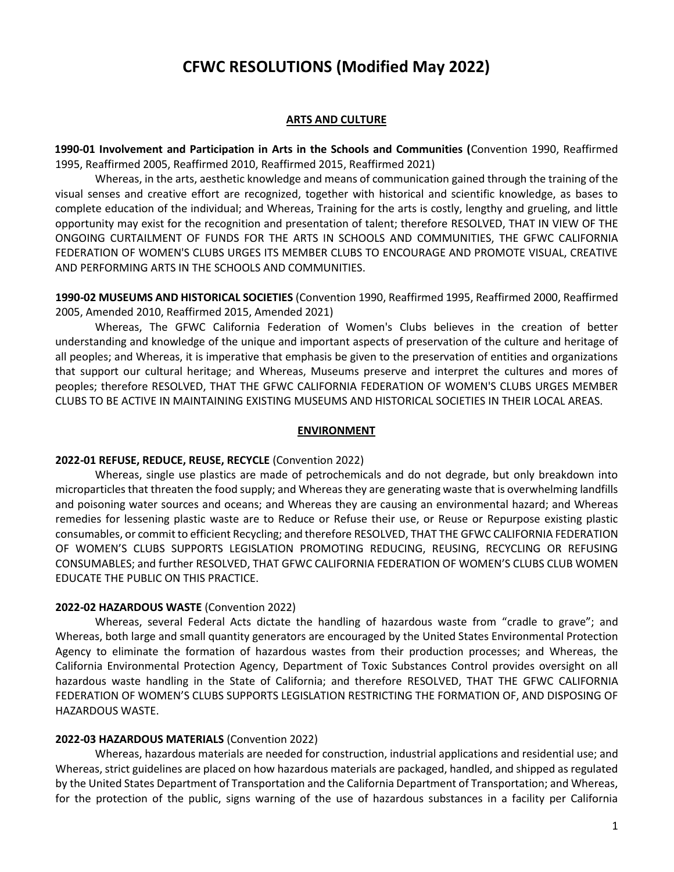# **CFWC RESOLUTIONS (Modified May 2022)**

#### **ARTS AND CULTURE**

**1990-01 Involvement and Participation in Arts in the Schools and Communities (**Convention 1990, Reaffirmed 1995, Reaffirmed 2005, Reaffirmed 2010, Reaffirmed 2015, Reaffirmed 2021)

Whereas, in the arts, aesthetic knowledge and means of communication gained through the training of the visual senses and creative effort are recognized, together with historical and scientific knowledge, as bases to complete education of the individual; and Whereas, Training for the arts is costly, lengthy and grueling, and little opportunity may exist for the recognition and presentation of talent; therefore RESOLVED, THAT IN VIEW OF THE ONGOING CURTAILMENT OF FUNDS FOR THE ARTS IN SCHOOLS AND COMMUNITIES, THE GFWC CALIFORNIA FEDERATION OF WOMEN'S CLUBS URGES ITS MEMBER CLUBS TO ENCOURAGE AND PROMOTE VISUAL, CREATIVE AND PERFORMING ARTS IN THE SCHOOLS AND COMMUNITIES.

**1990-02 MUSEUMS AND HISTORICAL SOCIETIES** (Convention 1990, Reaffirmed 1995, Reaffirmed 2000, Reaffirmed 2005, Amended 2010, Reaffirmed 2015, Amended 2021)

Whereas, The GFWC California Federation of Women's Clubs believes in the creation of better understanding and knowledge of the unique and important aspects of preservation of the culture and heritage of all peoples; and Whereas, it is imperative that emphasis be given to the preservation of entities and organizations that support our cultural heritage; and Whereas, Museums preserve and interpret the cultures and mores of peoples; therefore RESOLVED, THAT THE GFWC CALIFORNIA FEDERATION OF WOMEN'S CLUBS URGES MEMBER CLUBS TO BE ACTIVE IN MAINTAINING EXISTING MUSEUMS AND HISTORICAL SOCIETIES IN THEIR LOCAL AREAS.

#### **ENVIRONMENT**

#### **2022-01 REFUSE, REDUCE, REUSE, RECYCLE** (Convention 2022)

Whereas, single use plastics are made of petrochemicals and do not degrade, but only breakdown into microparticles that threaten the food supply; and Whereas they are generating waste that is overwhelming landfills and poisoning water sources and oceans; and Whereas they are causing an environmental hazard; and Whereas remedies for lessening plastic waste are to Reduce or Refuse their use, or Reuse or Repurpose existing plastic consumables, or commit to efficient Recycling; and therefore RESOLVED, THAT THE GFWC CALIFORNIA FEDERATION OF WOMEN'S CLUBS SUPPORTS LEGISLATION PROMOTING REDUCING, REUSING, RECYCLING OR REFUSING CONSUMABLES; and further RESOLVED, THAT GFWC CALIFORNIA FEDERATION OF WOMEN'S CLUBS CLUB WOMEN EDUCATE THE PUBLIC ON THIS PRACTICE.

#### **2022-02 HAZARDOUS WASTE** (Convention 2022)

Whereas, several Federal Acts dictate the handling of hazardous waste from "cradle to grave"; and Whereas, both large and small quantity generators are encouraged by the United States Environmental Protection Agency to eliminate the formation of hazardous wastes from their production processes; and Whereas, the California Environmental Protection Agency, Department of Toxic Substances Control provides oversight on all hazardous waste handling in the State of California; and therefore RESOLVED, THAT THE GFWC CALIFORNIA FEDERATION OF WOMEN'S CLUBS SUPPORTS LEGISLATION RESTRICTING THE FORMATION OF, AND DISPOSING OF HAZARDOUS WASTE.

#### **2022-03 HAZARDOUS MATERIALS** (Convention 2022)

Whereas, hazardous materials are needed for construction, industrial applications and residential use; and Whereas, strict guidelines are placed on how hazardous materials are packaged, handled, and shipped as regulated by the United States Department of Transportation and the California Department of Transportation; and Whereas, for the protection of the public, signs warning of the use of hazardous substances in a facility per California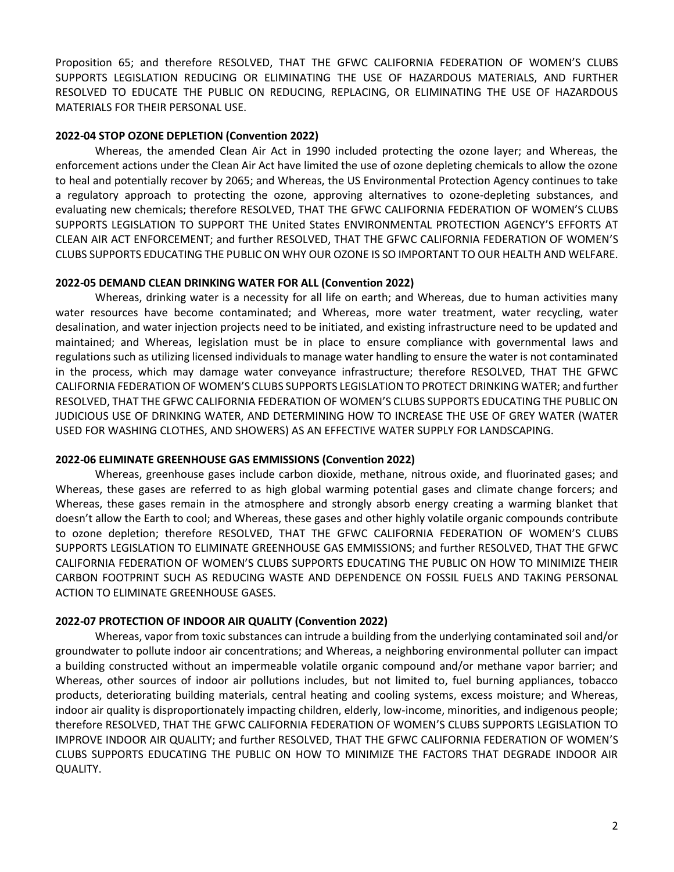Proposition 65; and therefore RESOLVED, THAT THE GFWC CALIFORNIA FEDERATION OF WOMEN'S CLUBS SUPPORTS LEGISLATION REDUCING OR ELIMINATING THE USE OF HAZARDOUS MATERIALS, AND FURTHER RESOLVED TO EDUCATE THE PUBLIC ON REDUCING, REPLACING, OR ELIMINATING THE USE OF HAZARDOUS MATERIALS FOR THEIR PERSONAL USE.

# **2022-04 STOP OZONE DEPLETION (Convention 2022)**

Whereas, the amended Clean Air Act in 1990 included protecting the ozone layer; and Whereas, the enforcement actions under the Clean Air Act have limited the use of ozone depleting chemicals to allow the ozone to heal and potentially recover by 2065; and Whereas, the US Environmental Protection Agency continues to take a regulatory approach to protecting the ozone, approving alternatives to ozone-depleting substances, and evaluating new chemicals; therefore RESOLVED, THAT THE GFWC CALIFORNIA FEDERATION OF WOMEN'S CLUBS SUPPORTS LEGISLATION TO SUPPORT THE United States ENVIRONMENTAL PROTECTION AGENCY'S EFFORTS AT CLEAN AIR ACT ENFORCEMENT; and further RESOLVED, THAT THE GFWC CALIFORNIA FEDERATION OF WOMEN'S CLUBS SUPPORTS EDUCATING THE PUBLIC ON WHY OUR OZONE IS SO IMPORTANT TO OUR HEALTH AND WELFARE.

# **2022-05 DEMAND CLEAN DRINKING WATER FOR ALL (Convention 2022)**

Whereas, drinking water is a necessity for all life on earth; and Whereas, due to human activities many water resources have become contaminated; and Whereas, more water treatment, water recycling, water desalination, and water injection projects need to be initiated, and existing infrastructure need to be updated and maintained; and Whereas, legislation must be in place to ensure compliance with governmental laws and regulations such as utilizing licensed individuals to manage water handling to ensure the water is not contaminated in the process, which may damage water conveyance infrastructure; therefore RESOLVED, THAT THE GFWC CALIFORNIA FEDERATION OF WOMEN'S CLUBS SUPPORTS LEGISLATION TO PROTECT DRINKING WATER; and further RESOLVED, THAT THE GFWC CALIFORNIA FEDERATION OF WOMEN'S CLUBS SUPPORTS EDUCATING THE PUBLIC ON JUDICIOUS USE OF DRINKING WATER, AND DETERMINING HOW TO INCREASE THE USE OF GREY WATER (WATER USED FOR WASHING CLOTHES, AND SHOWERS) AS AN EFFECTIVE WATER SUPPLY FOR LANDSCAPING.

# **2022-06 ELIMINATE GREENHOUSE GAS EMMISSIONS (Convention 2022)**

Whereas, greenhouse gases include carbon dioxide, methane, nitrous oxide, and fluorinated gases; and Whereas, these gases are referred to as high global warming potential gases and climate change forcers; and Whereas, these gases remain in the atmosphere and strongly absorb energy creating a warming blanket that doesn't allow the Earth to cool; and Whereas, these gases and other highly volatile organic compounds contribute to ozone depletion; therefore RESOLVED, THAT THE GFWC CALIFORNIA FEDERATION OF WOMEN'S CLUBS SUPPORTS LEGISLATION TO ELIMINATE GREENHOUSE GAS EMMISSIONS; and further RESOLVED, THAT THE GFWC CALIFORNIA FEDERATION OF WOMEN'S CLUBS SUPPORTS EDUCATING THE PUBLIC ON HOW TO MINIMIZE THEIR CARBON FOOTPRINT SUCH AS REDUCING WASTE AND DEPENDENCE ON FOSSIL FUELS AND TAKING PERSONAL ACTION TO ELIMINATE GREENHOUSE GASES.

# **2022-07 PROTECTION OF INDOOR AIR QUALITY (Convention 2022)**

Whereas, vapor from toxic substances can intrude a building from the underlying contaminated soil and/or groundwater to pollute indoor air concentrations; and Whereas, a neighboring environmental polluter can impact a building constructed without an impermeable volatile organic compound and/or methane vapor barrier; and Whereas, other sources of indoor air pollutions includes, but not limited to, fuel burning appliances, tobacco products, deteriorating building materials, central heating and cooling systems, excess moisture; and Whereas, indoor air quality is disproportionately impacting children, elderly, low-income, minorities, and indigenous people; therefore RESOLVED, THAT THE GFWC CALIFORNIA FEDERATION OF WOMEN'S CLUBS SUPPORTS LEGISLATION TO IMPROVE INDOOR AIR QUALITY; and further RESOLVED, THAT THE GFWC CALIFORNIA FEDERATION OF WOMEN'S CLUBS SUPPORTS EDUCATING THE PUBLIC ON HOW TO MINIMIZE THE FACTORS THAT DEGRADE INDOOR AIR QUALITY.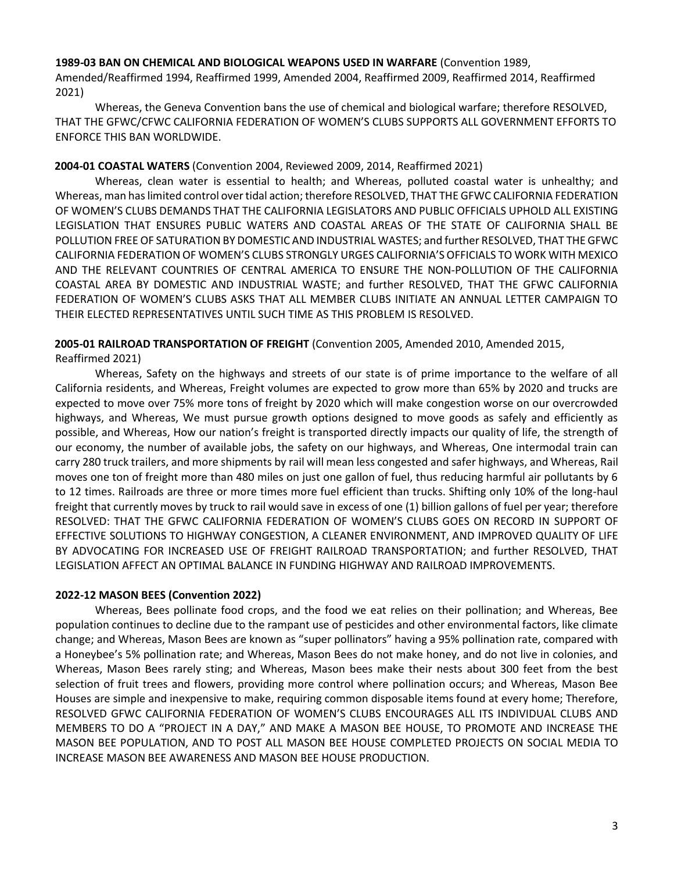#### **1989-03 BAN ON CHEMICAL AND BIOLOGICAL WEAPONS USED IN WARFARE** (Convention 1989,

Amended/Reaffirmed 1994, Reaffirmed 1999, Amended 2004, Reaffirmed 2009, Reaffirmed 2014, Reaffirmed 2021)

Whereas, the Geneva Convention bans the use of chemical and biological warfare; therefore RESOLVED, THAT THE GFWC/CFWC CALIFORNIA FEDERATION OF WOMEN'S CLUBS SUPPORTS ALL GOVERNMENT EFFORTS TO ENFORCE THIS BAN WORLDWIDE.

## **2004-01 COASTAL WATERS** (Convention 2004, Reviewed 2009, 2014, Reaffirmed 2021)

Whereas, clean water is essential to health; and Whereas, polluted coastal water is unhealthy; and Whereas, man has limited control over tidal action; therefore RESOLVED, THAT THE GFWC CALIFORNIA FEDERATION OF WOMEN'S CLUBS DEMANDS THAT THE CALIFORNIA LEGISLATORS AND PUBLIC OFFICIALS UPHOLD ALL EXISTING LEGISLATION THAT ENSURES PUBLIC WATERS AND COASTAL AREAS OF THE STATE OF CALIFORNIA SHALL BE POLLUTION FREE OF SATURATION BY DOMESTIC AND INDUSTRIAL WASTES; and further RESOLVED, THAT THE GFWC CALIFORNIA FEDERATION OF WOMEN'S CLUBS STRONGLY URGES CALIFORNIA'S OFFICIALS TO WORK WITH MEXICO AND THE RELEVANT COUNTRIES OF CENTRAL AMERICA TO ENSURE THE NON-POLLUTION OF THE CALIFORNIA COASTAL AREA BY DOMESTIC AND INDUSTRIAL WASTE; and further RESOLVED, THAT THE GFWC CALIFORNIA FEDERATION OF WOMEN'S CLUBS ASKS THAT ALL MEMBER CLUBS INITIATE AN ANNUAL LETTER CAMPAIGN TO THEIR ELECTED REPRESENTATIVES UNTIL SUCH TIME AS THIS PROBLEM IS RESOLVED.

# **2005-01 RAILROAD TRANSPORTATION OF FREIGHT** (Convention 2005, Amended 2010, Amended 2015, Reaffirmed 2021)

Whereas, Safety on the highways and streets of our state is of prime importance to the welfare of all California residents, and Whereas, Freight volumes are expected to grow more than 65% by 2020 and trucks are expected to move over 75% more tons of freight by 2020 which will make congestion worse on our overcrowded highways, and Whereas, We must pursue growth options designed to move goods as safely and efficiently as possible, and Whereas, How our nation's freight is transported directly impacts our quality of life, the strength of our economy, the number of available jobs, the safety on our highways, and Whereas, One intermodal train can carry 280 truck trailers, and more shipments by rail will mean less congested and safer highways, and Whereas, Rail moves one ton of freight more than 480 miles on just one gallon of fuel, thus reducing harmful air pollutants by 6 to 12 times. Railroads are three or more times more fuel efficient than trucks. Shifting only 10% of the long-haul freight that currently moves by truck to rail would save in excess of one (1) billion gallons of fuel per year; therefore RESOLVED: THAT THE GFWC CALIFORNIA FEDERATION OF WOMEN'S CLUBS GOES ON RECORD IN SUPPORT OF EFFECTIVE SOLUTIONS TO HIGHWAY CONGESTION, A CLEANER ENVIRONMENT, AND IMPROVED QUALITY OF LIFE BY ADVOCATING FOR INCREASED USE OF FREIGHT RAILROAD TRANSPORTATION; and further RESOLVED, THAT LEGISLATION AFFECT AN OPTIMAL BALANCE IN FUNDING HIGHWAY AND RAILROAD IMPROVEMENTS.

# **2022-12 MASON BEES (Convention 2022)**

Whereas, Bees pollinate food crops, and the food we eat relies on their pollination; and Whereas, Bee population continues to decline due to the rampant use of pesticides and other environmental factors, like climate change; and Whereas, Mason Bees are known as "super pollinators" having a 95% pollination rate, compared with a Honeybee's 5% pollination rate; and Whereas, Mason Bees do not make honey, and do not live in colonies, and Whereas, Mason Bees rarely sting; and Whereas, Mason bees make their nests about 300 feet from the best selection of fruit trees and flowers, providing more control where pollination occurs; and Whereas, Mason Bee Houses are simple and inexpensive to make, requiring common disposable items found at every home; Therefore, RESOLVED GFWC CALIFORNIA FEDERATION OF WOMEN'S CLUBS ENCOURAGES ALL ITS INDIVIDUAL CLUBS AND MEMBERS TO DO A "PROJECT IN A DAY," AND MAKE A MASON BEE HOUSE, TO PROMOTE AND INCREASE THE MASON BEE POPULATION, AND TO POST ALL MASON BEE HOUSE COMPLETED PROJECTS ON SOCIAL MEDIA TO INCREASE MASON BEE AWARENESS AND MASON BEE HOUSE PRODUCTION.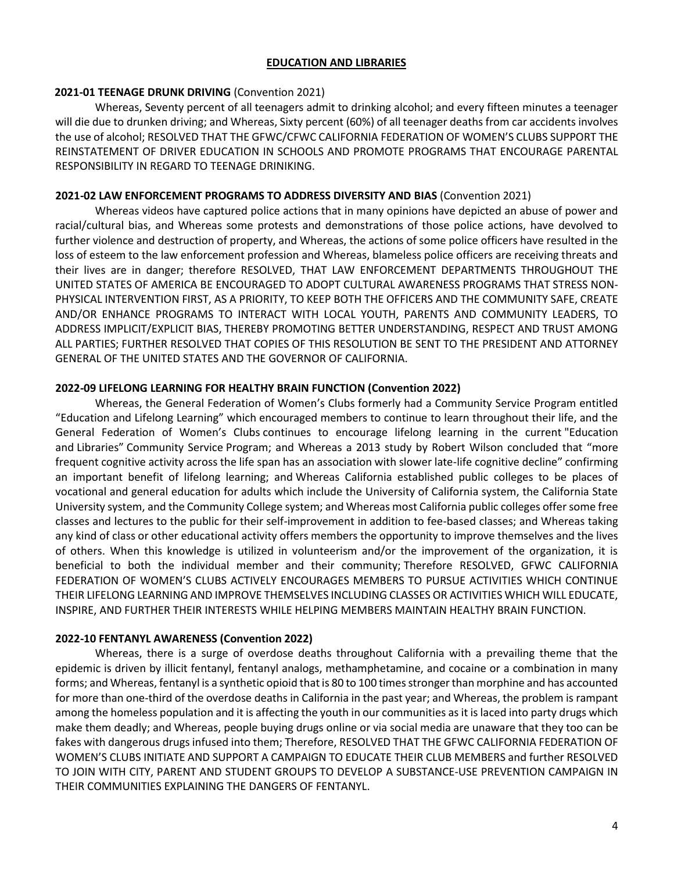#### **EDUCATION AND LIBRARIES**

#### **2021-01 TEENAGE DRUNK DRIVING** (Convention 2021)

Whereas, Seventy percent of all teenagers admit to drinking alcohol; and every fifteen minutes a teenager will die due to drunken driving; and Whereas, Sixty percent (60%) of all teenager deaths from car accidents involves the use of alcohol; RESOLVED THAT THE GFWC/CFWC CALIFORNIA FEDERATION OF WOMEN'S CLUBS SUPPORT THE REINSTATEMENT OF DRIVER EDUCATION IN SCHOOLS AND PROMOTE PROGRAMS THAT ENCOURAGE PARENTAL RESPONSIBILITY IN REGARD TO TEENAGE DRINIKING.

# **2021-02 LAW ENFORCEMENT PROGRAMS TO ADDRESS DIVERSITY AND BIAS** (Convention 2021)

Whereas videos have captured police actions that in many opinions have depicted an abuse of power and racial/cultural bias, and Whereas some protests and demonstrations of those police actions, have devolved to further violence and destruction of property, and Whereas, the actions of some police officers have resulted in the loss of esteem to the law enforcement profession and Whereas, blameless police officers are receiving threats and their lives are in danger; therefore RESOLVED, THAT LAW ENFORCEMENT DEPARTMENTS THROUGHOUT THE UNITED STATES OF AMERICA BE ENCOURAGED TO ADOPT CULTURAL AWARENESS PROGRAMS THAT STRESS NON-PHYSICAL INTERVENTION FIRST, AS A PRIORITY, TO KEEP BOTH THE OFFICERS AND THE COMMUNITY SAFE, CREATE AND/OR ENHANCE PROGRAMS TO INTERACT WITH LOCAL YOUTH, PARENTS AND COMMUNITY LEADERS, TO ADDRESS IMPLICIT/EXPLICIT BIAS, THEREBY PROMOTING BETTER UNDERSTANDING, RESPECT AND TRUST AMONG ALL PARTIES; FURTHER RESOLVED THAT COPIES OF THIS RESOLUTION BE SENT TO THE PRESIDENT AND ATTORNEY GENERAL OF THE UNITED STATES AND THE GOVERNOR OF CALIFORNIA.

# **2022-09 LIFELONG LEARNING FOR HEALTHY BRAIN FUNCTION (Convention 2022)**

Whereas, the General Federation of Women's Clubs formerly had a Community Service Program entitled "Education and Lifelong Learning" which encouraged members to continue to learn throughout their life, and the General Federation of Women's Clubs continues to encourage lifelong learning in the current "Education and Libraries" Community Service Program; and Whereas a 2013 study by Robert Wilson concluded that "more frequent cognitive activity across the life span has an association with slower late-life cognitive decline" confirming an important benefit of lifelong learning; and Whereas California established public colleges to be places of vocational and general education for adults which include the University of California system, the California State University system, and the Community College system; and Whereas most California public colleges offer some free classes and lectures to the public for their self-improvement in addition to fee-based classes; and Whereas taking any kind of class or other educational activity offers members the opportunity to improve themselves and the lives of others. When this knowledge is utilized in volunteerism and/or the improvement of the organization, it is beneficial to both the individual member and their community; Therefore RESOLVED, GFWC CALIFORNIA FEDERATION OF WOMEN'S CLUBS ACTIVELY ENCOURAGES MEMBERS TO PURSUE ACTIVITIES WHICH CONTINUE THEIR LIFELONG LEARNING AND IMPROVE THEMSELVES INCLUDING CLASSES OR ACTIVITIES WHICH WILL EDUCATE, INSPIRE, AND FURTHER THEIR INTERESTS WHILE HELPING MEMBERS MAINTAIN HEALTHY BRAIN FUNCTION.

# **2022-10 FENTANYL AWARENESS (Convention 2022)**

Whereas, there is a surge of overdose deaths throughout California with a prevailing theme that the epidemic is driven by illicit fentanyl, fentanyl analogs, methamphetamine, and cocaine or a combination in many forms; and Whereas, fentanyl is a synthetic opioid that is 80 to 100 times stronger than morphine and has accounted for more than one-third of the overdose deaths in California in the past year; and Whereas, the problem is rampant among the homeless population and it is affecting the youth in our communities as it is laced into party drugs which make them deadly; and Whereas, people buying drugs online or via social media are unaware that they too can be fakes with dangerous drugs infused into them; Therefore, RESOLVED THAT THE GFWC CALIFORNIA FEDERATION OF WOMEN'S CLUBS INITIATE AND SUPPORT A CAMPAIGN TO EDUCATE THEIR CLUB MEMBERS and further RESOLVED TO JOIN WITH CITY, PARENT AND STUDENT GROUPS TO DEVELOP A SUBSTANCE-USE PREVENTION CAMPAIGN IN THEIR COMMUNITIES EXPLAINING THE DANGERS OF FENTANYL.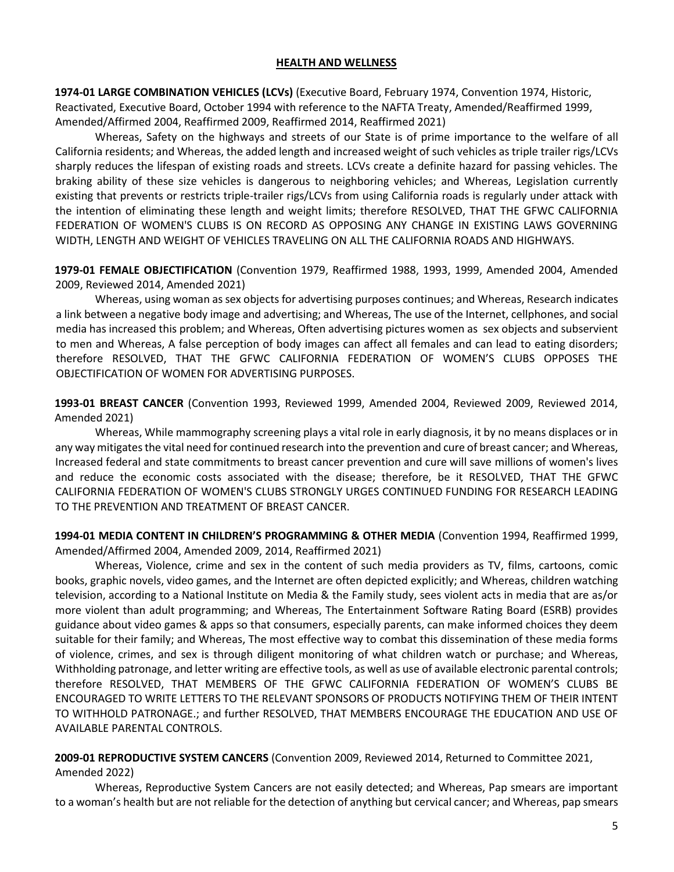#### **HEALTH AND WELLNESS**

**1974-01 LARGE COMBINATION VEHICLES (LCVs)** (Executive Board, February 1974, Convention 1974, Historic, Reactivated, Executive Board, October 1994 with reference to the NAFTA Treaty, Amended/Reaffirmed 1999, Amended/Affirmed 2004, Reaffirmed 2009, Reaffirmed 2014, Reaffirmed 2021)

Whereas, Safety on the highways and streets of our State is of prime importance to the welfare of all California residents; and Whereas, the added length and increased weight of such vehicles as triple trailer rigs/LCVs sharply reduces the lifespan of existing roads and streets. LCVs create a definite hazard for passing vehicles. The braking ability of these size vehicles is dangerous to neighboring vehicles; and Whereas, Legislation currently existing that prevents or restricts triple-trailer rigs/LCVs from using California roads is regularly under attack with the intention of eliminating these length and weight limits; therefore RESOLVED, THAT THE GFWC CALIFORNIA FEDERATION OF WOMEN'S CLUBS IS ON RECORD AS OPPOSING ANY CHANGE IN EXISTING LAWS GOVERNING WIDTH, LENGTH AND WEIGHT OF VEHICLES TRAVELING ON ALL THE CALIFORNIA ROADS AND HIGHWAYS.

**1979-01 FEMALE OBJECTIFICATION** (Convention 1979, Reaffirmed 1988, 1993, 1999, Amended 2004, Amended 2009, Reviewed 2014, Amended 2021)

Whereas, using woman as sex objects for advertising purposes continues; and Whereas, Research indicates a link between a negative body image and advertising; and Whereas, The use of the Internet, cellphones, and social media has increased this problem; and Whereas, Often advertising pictures women as sex objects and subservient to men and Whereas, A false perception of body images can affect all females and can lead to eating disorders; therefore RESOLVED, THAT THE GFWC CALIFORNIA FEDERATION OF WOMEN'S CLUBS OPPOSES THE OBJECTIFICATION OF WOMEN FOR ADVERTISING PURPOSES.

**1993-01 BREAST CANCER** (Convention 1993, Reviewed 1999, Amended 2004, Reviewed 2009, Reviewed 2014, Amended 2021)

Whereas, While mammography screening plays a vital role in early diagnosis, it by no means displaces or in any way mitigates the vital need for continued research into the prevention and cure of breast cancer; and Whereas, Increased federal and state commitments to breast cancer prevention and cure will save millions of women's lives and reduce the economic costs associated with the disease; therefore, be it RESOLVED, THAT THE GFWC CALIFORNIA FEDERATION OF WOMEN'S CLUBS STRONGLY URGES CONTINUED FUNDING FOR RESEARCH LEADING TO THE PREVENTION AND TREATMENT OF BREAST CANCER.

**1994-01 MEDIA CONTENT IN CHILDREN'S PROGRAMMING & OTHER MEDIA** (Convention 1994, Reaffirmed 1999, Amended/Affirmed 2004, Amended 2009, 2014, Reaffirmed 2021)

Whereas, Violence, crime and sex in the content of such media providers as TV, films, cartoons, comic books, graphic novels, video games, and the Internet are often depicted explicitly; and Whereas, children watching television, according to a National Institute on Media & the Family study, sees violent acts in media that are as/or more violent than adult programming; and Whereas, The Entertainment Software Rating Board (ESRB) provides guidance about video games & apps so that consumers, especially parents, can make informed choices they deem suitable for their family; and Whereas, The most effective way to combat this dissemination of these media forms of violence, crimes, and sex is through diligent monitoring of what children watch or purchase; and Whereas, Withholding patronage, and letter writing are effective tools, as well as use of available electronic parental controls; therefore RESOLVED, THAT MEMBERS OF THE GFWC CALIFORNIA FEDERATION OF WOMEN'S CLUBS BE ENCOURAGED TO WRITE LETTERS TO THE RELEVANT SPONSORS OF PRODUCTS NOTIFYING THEM OF THEIR INTENT TO WITHHOLD PATRONAGE.; and further RESOLVED, THAT MEMBERS ENCOURAGE THE EDUCATION AND USE OF AVAILABLE PARENTAL CONTROLS.

**2009-01 REPRODUCTIVE SYSTEM CANCERS** (Convention 2009, Reviewed 2014, Returned to Committee 2021, Amended 2022)

Whereas, Reproductive System Cancers are not easily detected; and Whereas, Pap smears are important to a woman's health but are not reliable for the detection of anything but cervical cancer; and Whereas, pap smears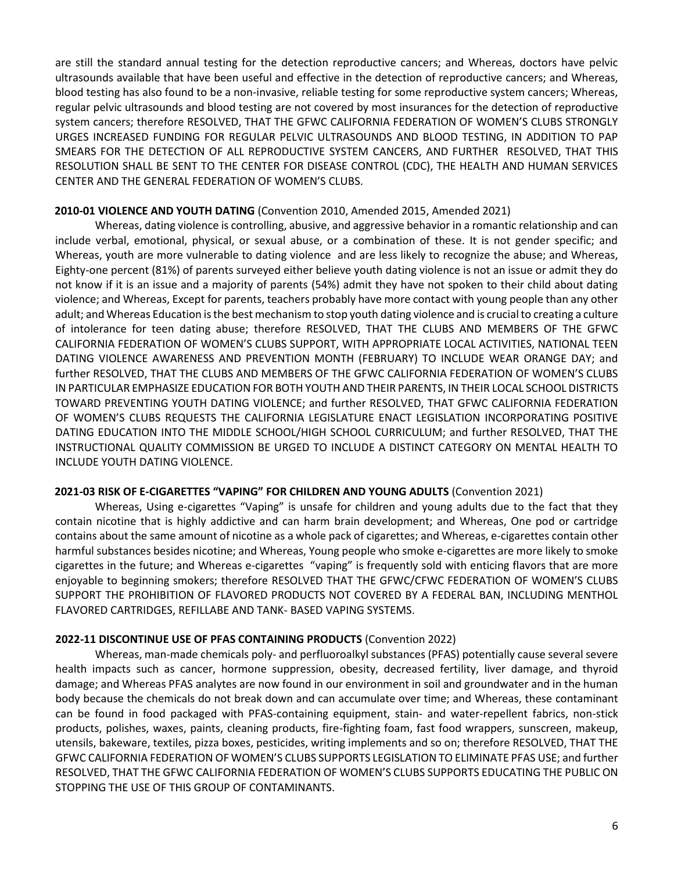are still the standard annual testing for the detection reproductive cancers; and Whereas, doctors have pelvic ultrasounds available that have been useful and effective in the detection of reproductive cancers; and Whereas, blood testing has also found to be a non-invasive, reliable testing for some reproductive system cancers; Whereas, regular pelvic ultrasounds and blood testing are not covered by most insurances for the detection of reproductive system cancers; therefore RESOLVED, THAT THE GFWC CALIFORNIA FEDERATION OF WOMEN'S CLUBS STRONGLY URGES INCREASED FUNDING FOR REGULAR PELVIC ULTRASOUNDS AND BLOOD TESTING, IN ADDITION TO PAP SMEARS FOR THE DETECTION OF ALL REPRODUCTIVE SYSTEM CANCERS, AND FURTHER RESOLVED, THAT THIS RESOLUTION SHALL BE SENT TO THE CENTER FOR DISEASE CONTROL (CDC), THE HEALTH AND HUMAN SERVICES CENTER AND THE GENERAL FEDERATION OF WOMEN'S CLUBS.

## **2010-01 VIOLENCE AND YOUTH DATING** (Convention 2010, Amended 2015, Amended 2021)

Whereas, dating violence is controlling, abusive, and aggressive behavior in a romantic relationship and can include verbal, emotional, physical, or sexual abuse, or a combination of these. It is not gender specific; and Whereas, youth are more vulnerable to dating violence and are less likely to recognize the abuse; and Whereas, Eighty-one percent (81%) of parents surveyed either believe youth dating violence is not an issue or admit they do not know if it is an issue and a majority of parents (54%) admit they have not spoken to their child about dating violence; and Whereas, Except for parents, teachers probably have more contact with young people than any other adult; and Whereas Education is the best mechanism to stop youth dating violence and is crucial to creating a culture of intolerance for teen dating abuse; therefore RESOLVED, THAT THE CLUBS AND MEMBERS OF THE GFWC CALIFORNIA FEDERATION OF WOMEN'S CLUBS SUPPORT, WITH APPROPRIATE LOCAL ACTIVITIES, NATIONAL TEEN DATING VIOLENCE AWARENESS AND PREVENTION MONTH (FEBRUARY) TO INCLUDE WEAR ORANGE DAY; and further RESOLVED, THAT THE CLUBS AND MEMBERS OF THE GFWC CALIFORNIA FEDERATION OF WOMEN'S CLUBS IN PARTICULAR EMPHASIZE EDUCATION FOR BOTH YOUTH AND THEIR PARENTS, IN THEIR LOCAL SCHOOL DISTRICTS TOWARD PREVENTING YOUTH DATING VIOLENCE; and further RESOLVED, THAT GFWC CALIFORNIA FEDERATION OF WOMEN'S CLUBS REQUESTS THE CALIFORNIA LEGISLATURE ENACT LEGISLATION INCORPORATING POSITIVE DATING EDUCATION INTO THE MIDDLE SCHOOL/HIGH SCHOOL CURRICULUM; and further RESOLVED, THAT THE INSTRUCTIONAL QUALITY COMMISSION BE URGED TO INCLUDE A DISTINCT CATEGORY ON MENTAL HEALTH TO INCLUDE YOUTH DATING VIOLENCE.

#### **2021-03 RISK OF E-CIGARETTES "VAPING" FOR CHILDREN AND YOUNG ADULTS** (Convention 2021)

Whereas, Using e-cigarettes "Vaping" is unsafe for children and young adults due to the fact that they contain nicotine that is highly addictive and can harm brain development; and Whereas, One pod or cartridge contains about the same amount of nicotine as a whole pack of cigarettes; and Whereas, e-cigarettes contain other harmful substances besides nicotine; and Whereas, Young people who smoke e-cigarettes are more likely to smoke cigarettes in the future; and Whereas e-cigarettes "vaping" is frequently sold with enticing flavors that are more enjoyable to beginning smokers; therefore RESOLVED THAT THE GFWC/CFWC FEDERATION OF WOMEN'S CLUBS SUPPORT THE PROHIBITION OF FLAVORED PRODUCTS NOT COVERED BY A FEDERAL BAN, INCLUDING MENTHOL FLAVORED CARTRIDGES, REFILLABE AND TANK- BASED VAPING SYSTEMS.

# **2022-11 DISCONTINUE USE OF PFAS CONTAINING PRODUCTS** (Convention 2022)

Whereas, man-made chemicals poly- and perfluoroalkyl substances (PFAS) potentially cause several severe health impacts such as cancer, hormone suppression, obesity, decreased fertility, liver damage, and thyroid damage; and Whereas PFAS analytes are now found in our environment in soil and groundwater and in the human body because the chemicals do not break down and can accumulate over time; and Whereas, these contaminant can be found in food packaged with PFAS-containing equipment, stain- and water-repellent fabrics, non-stick products, polishes, waxes, paints, cleaning products, fire-fighting foam, fast food wrappers, sunscreen, makeup, utensils, bakeware, textiles, pizza boxes, pesticides, writing implements and so on; therefore RESOLVED, THAT THE GFWC CALIFORNIA FEDERATION OF WOMEN'S CLUBS SUPPORTS LEGISLATION TO ELIMINATE PFAS USE; and further RESOLVED, THAT THE GFWC CALIFORNIA FEDERATION OF WOMEN'S CLUBS SUPPORTS EDUCATING THE PUBLIC ON STOPPING THE USE OF THIS GROUP OF CONTAMINANTS.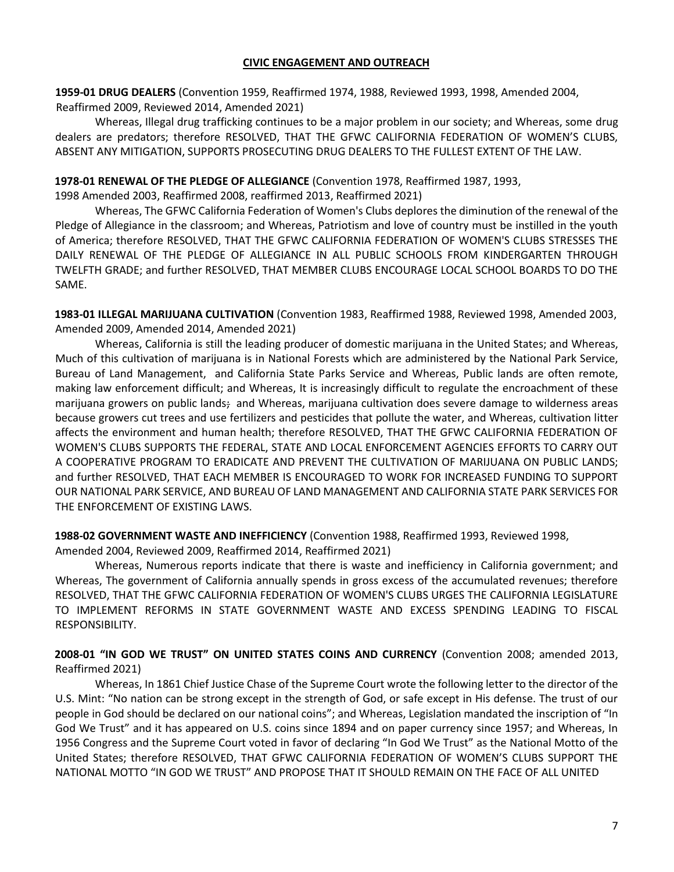**1959-01 DRUG DEALERS** (Convention 1959, Reaffirmed 1974, 1988, Reviewed 1993, 1998, Amended 2004, Reaffirmed 2009, Reviewed 2014, Amended 2021)

Whereas, Illegal drug trafficking continues to be a major problem in our society; and Whereas, some drug dealers are predators; therefore RESOLVED, THAT THE GFWC CALIFORNIA FEDERATION OF WOMEN'S CLUBS, ABSENT ANY MITIGATION, SUPPORTS PROSECUTING DRUG DEALERS TO THE FULLEST EXTENT OF THE LAW.

## **1978-01 RENEWAL OF THE PLEDGE OF ALLEGIANCE** (Convention 1978, Reaffirmed 1987, 1993,

1998 Amended 2003, Reaffirmed 2008, reaffirmed 2013, Reaffirmed 2021)

Whereas, The GFWC California Federation of Women's Clubs deplores the diminution of the renewal of the Pledge of Allegiance in the classroom; and Whereas, Patriotism and love of country must be instilled in the youth of America; therefore RESOLVED, THAT THE GFWC CALIFORNIA FEDERATION OF WOMEN'S CLUBS STRESSES THE DAILY RENEWAL OF THE PLEDGE OF ALLEGIANCE IN ALL PUBLIC SCHOOLS FROM KINDERGARTEN THROUGH TWELFTH GRADE; and further RESOLVED, THAT MEMBER CLUBS ENCOURAGE LOCAL SCHOOL BOARDS TO DO THE SAME.

**1983-01 ILLEGAL MARIJUANA CULTIVATION** (Convention 1983, Reaffirmed 1988, Reviewed 1998, Amended 2003, Amended 2009, Amended 2014, Amended 2021)

Whereas, California is still the leading producer of domestic marijuana in the United States; and Whereas, Much of this cultivation of marijuana is in National Forests which are administered by the National Park Service, Bureau of Land Management, and California State Parks Service and Whereas, Public lands are often remote, making law enforcement difficult; and Whereas, It is increasingly difficult to regulate the encroachment of these marijuana growers on public lands; and Whereas, marijuana cultivation does severe damage to wilderness areas because growers cut trees and use fertilizers and pesticides that pollute the water, and Whereas, cultivation litter affects the environment and human health; therefore RESOLVED, THAT THE GFWC CALIFORNIA FEDERATION OF WOMEN'S CLUBS SUPPORTS THE FEDERAL, STATE AND LOCAL ENFORCEMENT AGENCIES EFFORTS TO CARRY OUT A COOPERATIVE PROGRAM TO ERADICATE AND PREVENT THE CULTIVATION OF MARIJUANA ON PUBLIC LANDS; and further RESOLVED, THAT EACH MEMBER IS ENCOURAGED TO WORK FOR INCREASED FUNDING TO SUPPORT OUR NATIONAL PARK SERVICE, AND BUREAU OF LAND MANAGEMENT AND CALIFORNIA STATE PARK SERVICES FOR THE ENFORCEMENT OF EXISTING LAWS.

**1988-02 GOVERNMENT WASTE AND INEFFICIENCY** (Convention 1988, Reaffirmed 1993, Reviewed 1998,

Amended 2004, Reviewed 2009, Reaffirmed 2014, Reaffirmed 2021)

Whereas, Numerous reports indicate that there is waste and inefficiency in California government; and Whereas, The government of California annually spends in gross excess of the accumulated revenues; therefore RESOLVED, THAT THE GFWC CALIFORNIA FEDERATION OF WOMEN'S CLUBS URGES THE CALIFORNIA LEGISLATURE TO IMPLEMENT REFORMS IN STATE GOVERNMENT WASTE AND EXCESS SPENDING LEADING TO FISCAL RESPONSIBILITY.

**2008-01 "IN GOD WE TRUST" ON UNITED STATES COINS AND CURRENCY** (Convention 2008; amended 2013, Reaffirmed 2021)

Whereas, In 1861 Chief Justice Chase of the Supreme Court wrote the following letter to the director of the U.S. Mint: "No nation can be strong except in the strength of God, or safe except in His defense. The trust of our people in God should be declared on our national coins"; and Whereas, Legislation mandated the inscription of "In God We Trust" and it has appeared on U.S. coins since 1894 and on paper currency since 1957; and Whereas, In 1956 Congress and the Supreme Court voted in favor of declaring "In God We Trust" as the National Motto of the United States; therefore RESOLVED, THAT GFWC CALIFORNIA FEDERATION OF WOMEN'S CLUBS SUPPORT THE NATIONAL MOTTO "IN GOD WE TRUST" AND PROPOSE THAT IT SHOULD REMAIN ON THE FACE OF ALL UNITED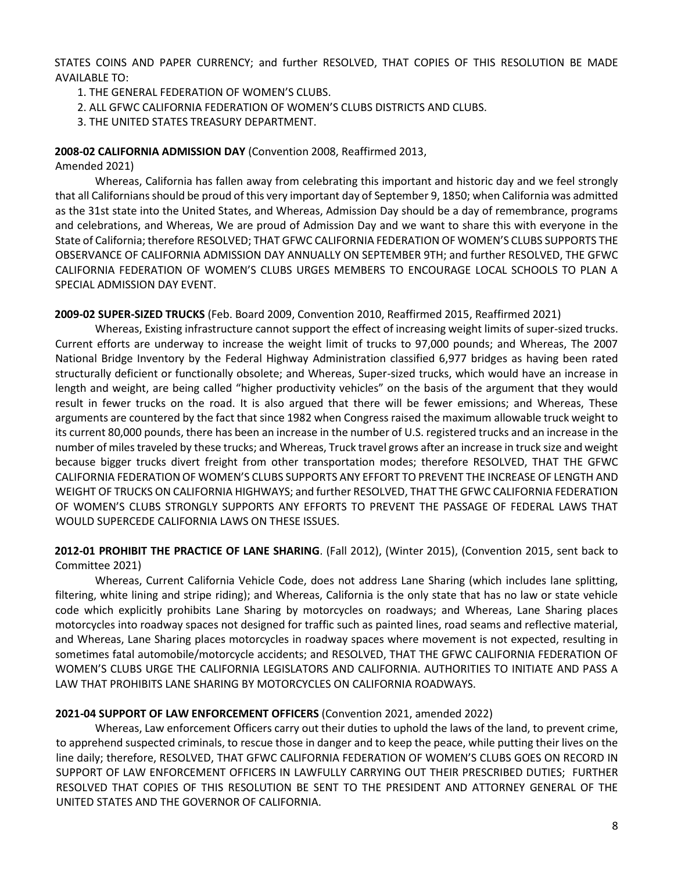STATES COINS AND PAPER CURRENCY; and further RESOLVED, THAT COPIES OF THIS RESOLUTION BE MADE AVAILABLE TO:

- 1. THE GENERAL FEDERATION OF WOMEN'S CLUBS.
- 2. ALL GFWC CALIFORNIA FEDERATION OF WOMEN'S CLUBS DISTRICTS AND CLUBS.
- 3. THE UNITED STATES TREASURY DEPARTMENT.

#### **2008-02 CALIFORNIA ADMISSION DAY** (Convention 2008, Reaffirmed 2013,

Amended 2021)

Whereas, California has fallen away from celebrating this important and historic day and we feel strongly that all Californians should be proud of this very important day of September 9, 1850; when California was admitted as the 31st state into the United States, and Whereas, Admission Day should be a day of remembrance, programs and celebrations, and Whereas, We are proud of Admission Day and we want to share this with everyone in the State of California; therefore RESOLVED; THAT GFWC CALIFORNIA FEDERATION OF WOMEN'S CLUBS SUPPORTS THE OBSERVANCE OF CALIFORNIA ADMISSION DAY ANNUALLY ON SEPTEMBER 9TH; and further RESOLVED, THE GFWC CALIFORNIA FEDERATION OF WOMEN'S CLUBS URGES MEMBERS TO ENCOURAGE LOCAL SCHOOLS TO PLAN A SPECIAL ADMISSION DAY EVENT.

**2009-02 SUPER-SIZED TRUCKS** (Feb. Board 2009, Convention 2010, Reaffirmed 2015, Reaffirmed 2021)

Whereas, Existing infrastructure cannot support the effect of increasing weight limits of super-sized trucks. Current efforts are underway to increase the weight limit of trucks to 97,000 pounds; and Whereas, The 2007 National Bridge Inventory by the Federal Highway Administration classified 6,977 bridges as having been rated structurally deficient or functionally obsolete; and Whereas, Super-sized trucks, which would have an increase in length and weight, are being called "higher productivity vehicles" on the basis of the argument that they would result in fewer trucks on the road. It is also argued that there will be fewer emissions; and Whereas, These arguments are countered by the fact that since 1982 when Congress raised the maximum allowable truck weight to its current 80,000 pounds, there has been an increase in the number of U.S. registered trucks and an increase in the number of miles traveled by these trucks; and Whereas, Truck travel grows after an increase in truck size and weight because bigger trucks divert freight from other transportation modes; therefore RESOLVED, THAT THE GFWC CALIFORNIA FEDERATION OF WOMEN'S CLUBS SUPPORTS ANY EFFORT TO PREVENT THE INCREASE OF LENGTH AND WEIGHT OF TRUCKS ON CALIFORNIA HIGHWAYS; and further RESOLVED, THAT THE GFWC CALIFORNIA FEDERATION OF WOMEN'S CLUBS STRONGLY SUPPORTS ANY EFFORTS TO PREVENT THE PASSAGE OF FEDERAL LAWS THAT WOULD SUPERCEDE CALIFORNIA LAWS ON THESE ISSUES.

**2012-01 PROHIBIT THE PRACTICE OF LANE SHARING**. (Fall 2012), (Winter 2015), (Convention 2015, sent back to Committee 2021)

Whereas, Current California Vehicle Code, does not address Lane Sharing (which includes lane splitting, filtering, white lining and stripe riding); and Whereas, California is the only state that has no law or state vehicle code which explicitly prohibits Lane Sharing by motorcycles on roadways; and Whereas, Lane Sharing places motorcycles into roadway spaces not designed for traffic such as painted lines, road seams and reflective material, and Whereas, Lane Sharing places motorcycles in roadway spaces where movement is not expected, resulting in sometimes fatal automobile/motorcycle accidents; and RESOLVED, THAT THE GFWC CALIFORNIA FEDERATION OF WOMEN'S CLUBS URGE THE CALIFORNIA LEGISLATORS AND CALIFORNIA. AUTHORITIES TO INITIATE AND PASS A LAW THAT PROHIBITS LANE SHARING BY MOTORCYCLES ON CALIFORNIA ROADWAYS.

# **2021-04 SUPPORT OF LAW ENFORCEMENT OFFICERS** (Convention 2021, amended 2022)

Whereas, Law enforcement Officers carry out their duties to uphold the laws of the land, to prevent crime, to apprehend suspected criminals, to rescue those in danger and to keep the peace, while putting their lives on the line daily; therefore, RESOLVED, THAT GFWC CALIFORNIA FEDERATION OF WOMEN'S CLUBS GOES ON RECORD IN SUPPORT OF LAW ENFORCEMENT OFFICERS IN LAWFULLY CARRYING OUT THEIR PRESCRIBED DUTIES; FURTHER RESOLVED THAT COPIES OF THIS RESOLUTION BE SENT TO THE PRESIDENT AND ATTORNEY GENERAL OF THE UNITED STATES AND THE GOVERNOR OF CALIFORNIA.